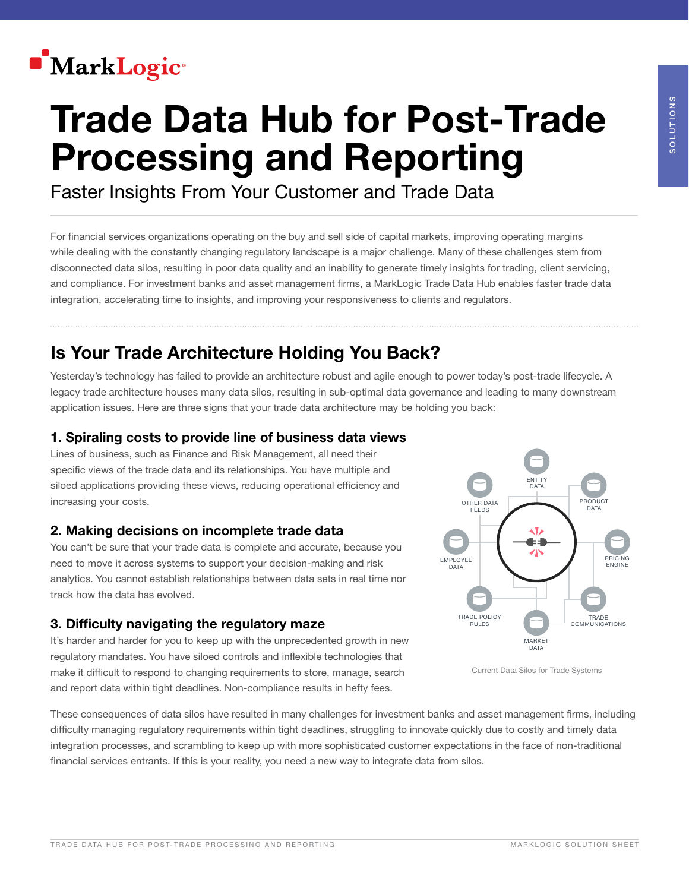

# Trade Data Hub for Post-Trade Processing and Reporting

Faster Insights From Your Customer and Trade Data

For financial services organizations operating on the buy and sell side of capital markets, improving operating margins while dealing with the constantly changing regulatory landscape is a major challenge. Many of these challenges stem from disconnected data silos, resulting in poor data quality and an inability to generate timely insights for trading, client servicing, and compliance. For investment banks and asset management firms, a MarkLogic Trade Data Hub enables faster trade data integration, accelerating time to insights, and improving your responsiveness to clients and regulators.

# Is Your Trade Architecture Holding You Back?

Yesterday's technology has failed to provide an architecture robust and agile enough to power today's post-trade lifecycle. A legacy trade architecture houses many data silos, resulting in sub-optimal data governance and leading to many downstream application issues. Here are three signs that your trade data architecture may be holding you back:

#### 1. Spiraling costs to provide line of business data views

Lines of business, such as Finance and Risk Management, all need their specific views of the trade data and its relationships. You have multiple and siloed applications providing these views, reducing operational efficiency and increasing your costs.

#### 2. Making decisions on incomplete trade data

You can't be sure that your trade data is complete and accurate, because you need to move it across systems to support your decision-making and risk analytics. You cannot establish relationships between data sets in real time nor track how the data has evolved.

#### 3. Difficulty navigating the regulatory maze

It's harder and harder for you to keep up with the unprecedented growth in new regulatory mandates. You have siloed controls and inflexible technologies that make it difficult to respond to changing requirements to store, manage, search and report data within tight deadlines. Non-compliance results in hefty fees.





These consequences of data silos have resulted in many challenges for investment banks and asset management firms, including difficulty managing regulatory requirements within tight deadlines, struggling to innovate quickly due to costly and timely data integration processes, and scrambling to keep up with more sophisticated customer expectations in the face of non-traditional financial services entrants. If this is your reality, you need a new way to integrate data from silos.